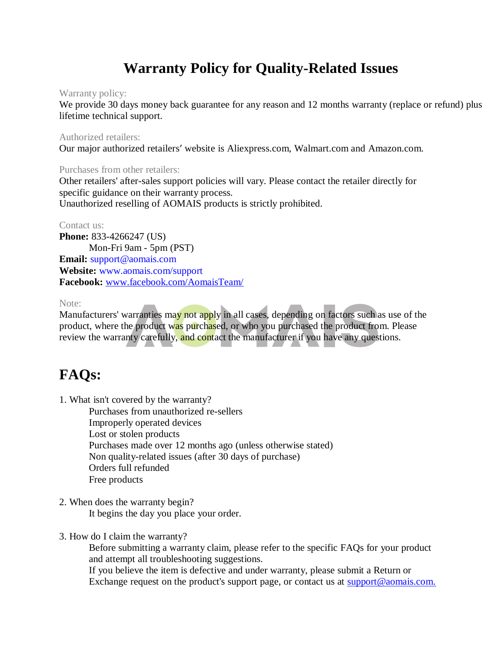# **Warranty Policy for Quality-Related Issues**

## Warranty policy:

We provide 30 days money back guarantee for any reason and 12 months warranty (replace or refund) plus lifetime technical support.

## Authorized retailers:

Our major authorized retailers' website is Aliexpress.com, Walmart.com and Amazon.com.

## Purchases from other retailers:

Other retailers' after-sales support policies will vary. Please contact the retailer directly for specific guidance on their warranty process. Unauthorized reselling of AOMAIS products is strictly prohibited.

## Contact us:

**Phone: 833-4266247 (US)** Mon-Fri 9am - 5pm (PST) **Email:** support@aomais.com **Website:** www.aomais.com/support **Facebook:** www.facebook.com/AomaisTeam/

Note:

Manufacturers' warranties may not apply in all cases, depending on factors such as use of the product, where the product was purchased, or who you purchased the product from. Please review the warranty carefully, and contact the manufacturer if you have any questions.

# **FAQs:**

1. What isn't covered by the warranty?

Purchases from unauthorized re-sellers Improperly operated devices Lost or stolen products Purchases made over 12 months ago (unless otherwise stated) Non quality-related issues (after 30 days of purchase) Orders full refunded Free products

2. When does the warranty begin?

It begins the day you place your order.

3. How do I claim the warranty?

Before submitting a warranty claim, please refer to the specific FAQs for your product and attempt all troubleshooting suggestions.

If you believe the item is defective and under warranty, please submit a Return or Exchange request on the product's support page, or contact us at support@aomais.com.